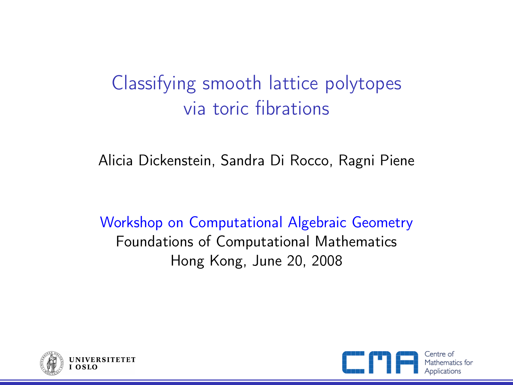# Classifying smooth lattice polytopes via toric fibrations

Alicia Dickenstein, Sandra Di Rocco, Ragni Piene

Workshop on Computational Algebraic Geometry Foundations of Computational Mathematics Hong Kong, June 20, 2008



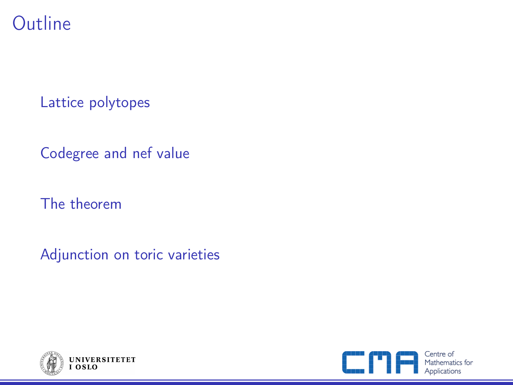### **Outline**

[Lattice polytopes](#page-2-0)

[Codegree and nef value](#page-6-0)

[The theorem](#page-12-0)

[Adjunction on toric varieties](#page-13-0)



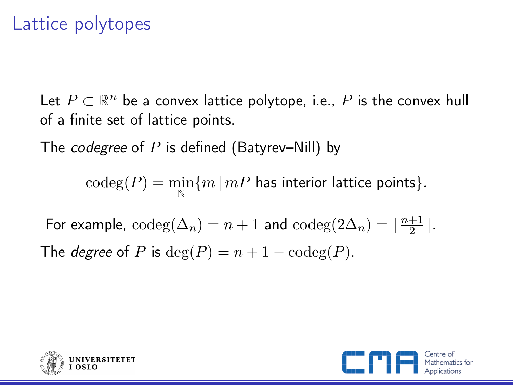### Lattice polytopes

Let  $P \subset \mathbb{R}^n$  be a convex lattice polytope, i.e.,  $P$  is the convex hull of a finite set of lattice points.

The *codegree* of P is defined (Batyrev–Nill) by

 $\mathrm{codeg}(P) = \min_{\mathbb{N}} \{ m \, | \, mP \text{ has interior lattice points} \}.$ 

For example,  $\mathrm{codeg}(\Delta_n) = n + 1$  and  $\mathrm{codeg}(2\Delta_n) = \lceil \frac{n+1}{2} \rceil$  $\frac{+1}{2}$ . The *degree* of P is  $deg(P) = n + 1 - codeg(P)$ .



<span id="page-2-0"></span>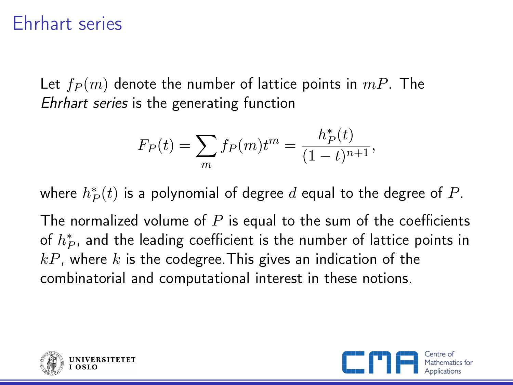### Ehrhart series

Let  $f_P(m)$  denote the number of lattice points in  $mP$ . The Ehrhart series is the generating function

$$
F_P(t) = \sum_m f_P(m)t^m = \frac{h_P^*(t)}{(1-t)^{n+1}},
$$

where  $h^{\ast}_{P}(t)$  is a polynomial of degree  $d$  equal to the degree of  $P.$ 

The normalized volume of  $P$  is equal to the sum of the coefficients of  $h^{\ast}_{P}$ , and the leading coefficient is the number of lattice points in  $kP$ , where k is the codegree. This gives an indication of the combinatorial and computational interest in these notions.



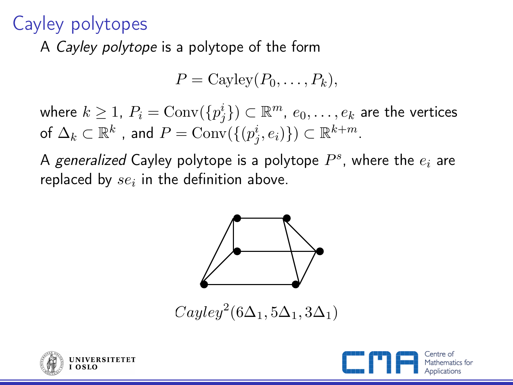## Cayley polytopes

A Cayley polytope is a polytope of the form

$$
P = \text{Cayley}(P_0, \ldots, P_k),
$$

where  $k\geq 1$ ,  $P_i = \operatorname{Conv}(\{p_j^i\}) \subset \mathbb{R}^m$ ,  $e_0,\ldots,e_k$  are the vertices of  $\Delta_k \subset \mathbb{R}^k$  , and  $P = \operatorname{Conv}(\{(p^i_j, e_i)\}) \subset \mathbb{R}^{k+m}.$ 

A *generalized* Cayley polytope is a polytope  $P^s$ , where the  $e_i$  are replaced by  $se_i$  in the definition above.



 $Cauley^2(6\Delta_1, 5\Delta_1, 3\Delta_1)$ 



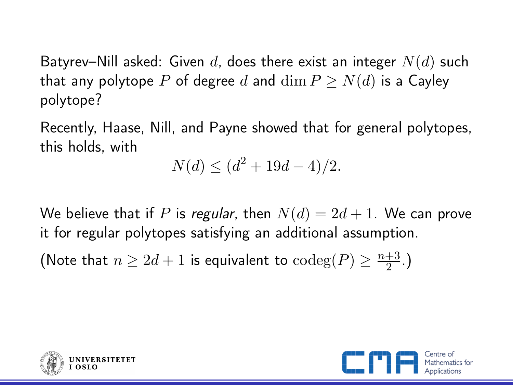Batyrev–Nill asked: Given d, does there exist an integer  $N(d)$  such that any polytope P of degree d and  $\dim P > N(d)$  is a Cayley polytope?

Recently, Haase, Nill, and Payne showed that for general polytopes, this holds, with

$$
N(d) \le (d^2 + 19d - 4)/2.
$$

We believe that if P is regular, then  $N(d) = 2d + 1$ . We can prove it for regular polytopes satisfying an additional assumption.

(Note that  $n \geq 2d + 1$  is equivalent to  $\text{codeg}(P) \geq \frac{n+3}{2}$  $\frac{+3}{2}$ .)



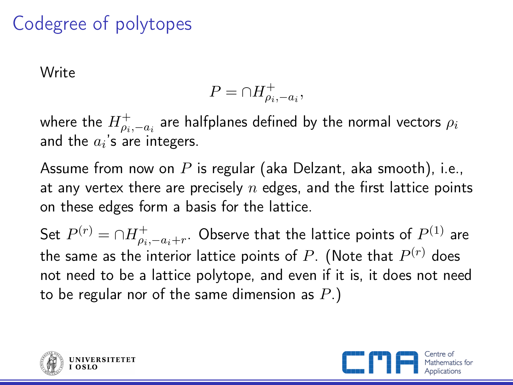# Codegree of polytopes

Write

$$
P = \cap H_{\rho_i, -a_i}^+,
$$

where the  $H_{\rho_i,-a_i}^+$  are halfplanes defined by the normal vectors  $\rho_i$ and the  $a_i$ 's are integers.

Assume from now on  $P$  is regular (aka Delzant, aka smooth), i.e., at any vertex there are precisely  $n$  edges, and the first lattice points on these edges form a basis for the lattice.

Set  $P^{(r)} = \cap H_{\rho_i,-a_i+r}^+$ . Observe that the lattice points of  $P^{(1)}$  are the same as the interior lattice points of  $P.$  (Note that  $P^{(r)}$  does not need to be a lattice polytope, and even if it is, it does not need to be regular nor of the same dimension as  $P$ .)



<span id="page-6-0"></span>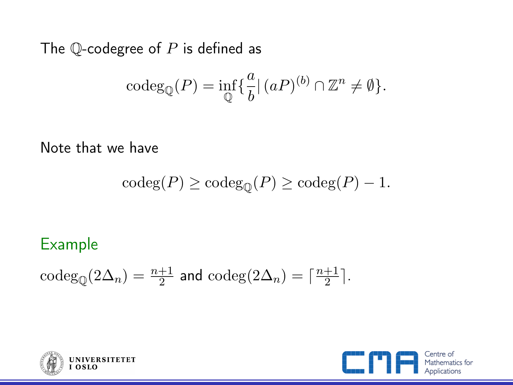The  $\mathbb Q$ -codegree of  $P$  is defined as

$$
\mathrm{codeg}_{\mathbb{Q}}(P) = \inf_{\mathbb{Q}} \{ \frac{a}{b} | (aP)^{(b)} \cap \mathbb{Z}^n \neq \emptyset \}.
$$

Note that we have

$$
\mathrm{codeg}(P) \ge \mathrm{codeg}_{\mathbb{Q}}(P) \ge \mathrm{codeg}(P) - 1.
$$

### Example

$$
\mathrm{codeg}_{\mathbb{Q}}(2\Delta_n) = \tfrac{n+1}{2} \text{ and } \mathrm{codeg}(2\Delta_n) = \lceil \tfrac{n+1}{2} \rceil.
$$



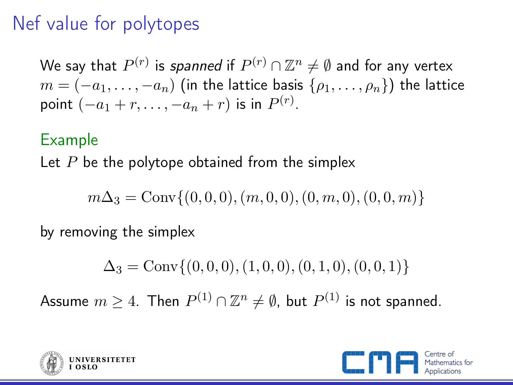# Nef value for polytopes

We say that  $P^{(r)}$  is *spanned* if  $P^{(r)} \cap \mathbb{Z}^n \neq \emptyset$  and for any vertex  $m = (-a_1, \ldots, -a_n)$  (in the lattice basis  $\{\rho_1, \ldots, \rho_n\}$ ) the lattice point  $(-a_1+r,\ldots,-a_n+r)$  is in  $P^{(r)}$ .

#### Example

Let  $P$  be the polytope obtained from the simplex

 $m\Delta_3 = \text{Conv}\{(0, 0, 0), (m, 0, 0), (0, m, 0), (0, 0, m)\}\$ 

by removing the simplex

 $\Delta_3 = \text{Conv}\{(0, 0, 0), (1, 0, 0), (0, 1, 0), (0, 0, 1)\}\$ 

Assume  $m\geq 4.$  Then  $P^{(1)}\cap{\mathbb Z}^n \neq \emptyset$ , but  $P^{(1)}$  is not spanned.



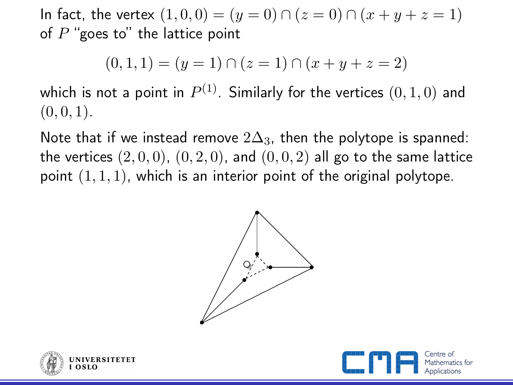In fact, the vertex  $(1, 0, 0) = (y = 0) \cap (z = 0) \cap (x + y + z = 1)$ of  $P$  "goes to" the lattice point

$$
(0,1,1)=(y=1)\cap(z=1)\cap(x+y+z=2)
$$

which is not a point in  $P^{(1)}.$  Similarly for the vertices  $\left(0,1,0\right)$  and  $(0, 0, 1)$ .

Note that if we instead remove  $2\Delta_3$ , then the polytope is spanned: the vertices  $(2,0,0)$ ,  $(0,2,0)$ , and  $(0,0,2)$  all go to the same lattice point  $(1, 1, 1)$ , which is an interior point of the original polytope.





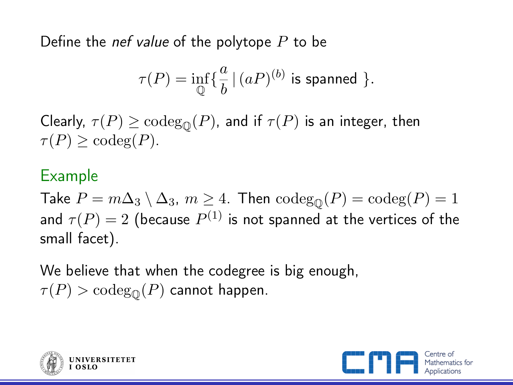Define the *nef value* of the polytope  $P$  to be

$$
\tau(P)=\inf_{\mathbb{Q}}\{\frac{a}{b}\,|\,(aP)^{(b)}\text{ is spanned }\}.
$$

Clearly,  $\tau(P) \geq \text{codeg}_{\mathcal{D}}(P)$ , and if  $\tau(P)$  is an integer, then  $\tau(P) > \text{codeg}(P)$ .

#### Example

Take  $P = m\Delta_3 \setminus \Delta_3$ ,  $m \geq 4$ . Then  $\operatorname{codeg}(P) = \operatorname{codeg}(P) = 1$ and  $\tau(P)=2$  (because  $P^{(1)}$  is not spanned at the vertices of the small facet).

We believe that when the codegree is big enough,  $\tau(P) > \text{codeg}_{\bigcirc}(P)$  cannot happen.



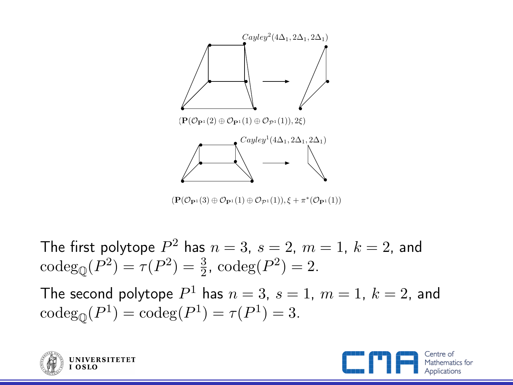

The first polytope  $P^2$  has  $n=3,\ s=2,\ m=1,\ k=2,$  and  $\text{codeg}_{\mathbb{Q}}(P^2) = \tau(P^2) = \frac{3}{2}, \text{codeg}(P^2) = 2.$ The second polytope  $P^1$  has  $n=3$ ,  $s=1$ ,  $m=1$ ,  $k=2$ , and

 $\mathrm{codeg}_{\mathbb{Q}}(P^1) = \mathrm{codeg}(P^1) = \tau(P^1) = 3.$ 



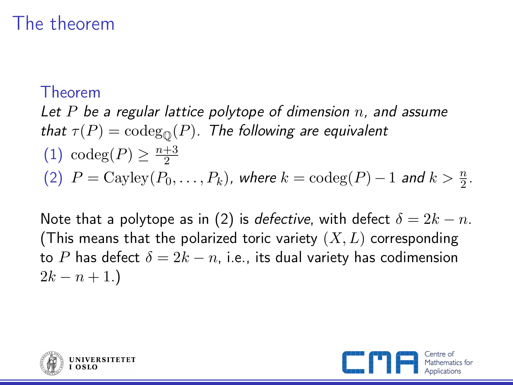## The theorem

#### Theorem

Let  $P$  be a regular lattice polytope of dimension  $n$ , and assume that  $\tau(P) = \text{codeg}_{\mathbb{Q}}(P)$ . The following are equivalent (1) codeg $(P) \geq \frac{n+3}{2}$ 2 (2)  $P = \text{Cayley}(P_0, \ldots, P_k)$ , where  $k = \text{codeg}(P) - 1$  and  $k > \frac{n}{2}$ .

Note that a polytope as in (2) is *defective*, with defect  $\delta = 2k - n$ . (This means that the polarized toric variety  $(X, L)$  corresponding to P has defect  $\delta = 2k - n$ , i.e., its dual variety has codimension  $2k - n + 1.$ 



<span id="page-12-0"></span>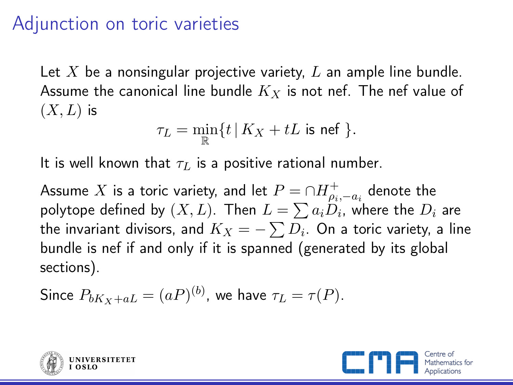### Adjunction on toric varieties

Let X be a nonsingular projective variety,  $L$  an ample line bundle. Assume the canonical line bundle  $K_X$  is not nef. The nef value of  $(X, L)$  is

$$
\tau_L = \min_{\mathbb{R}} \{ t \, | \, K_X + tL \text{ is nef } \}.
$$

It is well known that  $\tau_L$  is a positive rational number.

Assume  $X$  is a toric variety, and let  $P = \cap H_{\rho_i,-a_i}^+$  denote the polytope defined by  $(X, L)$ . Then  $L = \sum a_i D_i$ , where the  $D_i$  are the invariant divisors, and  $K_X = - \sum D_i.$  On a toric variety, a line bundle is nef if and only if it is spanned (generated by its global sections).

Since 
$$
P_{bK_X + aL} = (aP)^{(b)}
$$
, we have  $\tau_L = \tau(P)$ .



<span id="page-13-0"></span>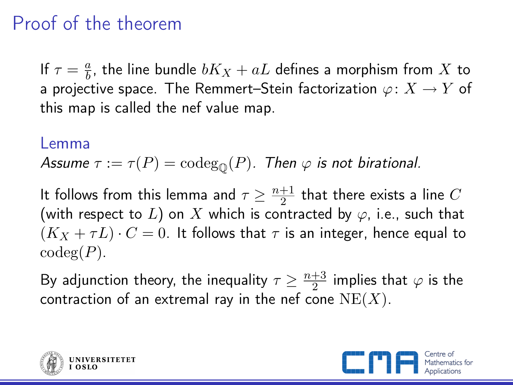## Proof of the theorem

If  $\tau = \frac{a}{b}$  $\frac{a}{b}$ , the line bundle  $bK_X+aL$  defines a morphism from  $X$  to a projective space. The Remmert–Stein factorization  $\varphi \colon X \to Y$  of this map is called the nef value map.

#### Lemma

Assume  $\tau := \tau(P) = \text{codeg}_{\mathcal{O}}(P)$ . Then  $\varphi$  is not birational.

It follows from this lemma and  $\tau \geq \frac{n+1}{2}$  $\frac{+1}{2}$  that there exists a line  $C$ (with respect to L) on X which is contracted by  $\varphi$ , i.e., such that  $(K_X + \tau L) \cdot C = 0$ . It follows that  $\tau$  is an integer, hence equal to  $codeg(P)$ .

By adjunction theory, the inequality  $\tau \geq \frac{n+3}{2}$  $\frac{+3}{2}$  implies that  $\varphi$  is the contraction of an extremal ray in the nef cone  $NE(X)$ .



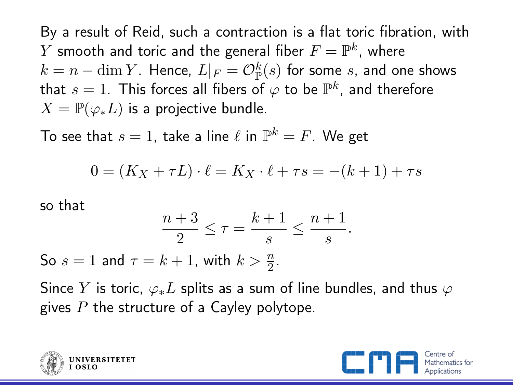By a result of Reid, such a contraction is a flat toric fibration, with  $Y$  smooth and toric and the general fiber  $F=\mathbb{P}^k$ , where  $k=n-\dim Y$ . Hence,  $L|_F = \mathcal{O}_{\mathbb{P}}^k(s)$  for some  $s$ , and one shows that  $s=1.$  This forces all fibers of  $\varphi$  to be  $\mathbb{P}^k$ , and therefore  $X = \mathbb{P}(\varphi_* L)$  is a projective bundle.

To see that  $s=1$ , take a line  $\ell$  in  $\mathbb{P}^k=F.$  We get

$$
0 = (K_X + \tau L) \cdot \ell = K_X \cdot \ell + \tau s = -(k+1) + \tau s
$$

so that

$$
\frac{n+3}{2} \le \tau = \frac{k+1}{s} \le \frac{n+1}{s}.
$$

So  $s = 1$  and  $\tau = k + 1$ , with  $k > \frac{n}{2}$ .

Since Y is toric,  $\varphi_* L$  splits as a sum of line bundles, and thus  $\varphi$ gives  $P$  the structure of a Cayley polytope.